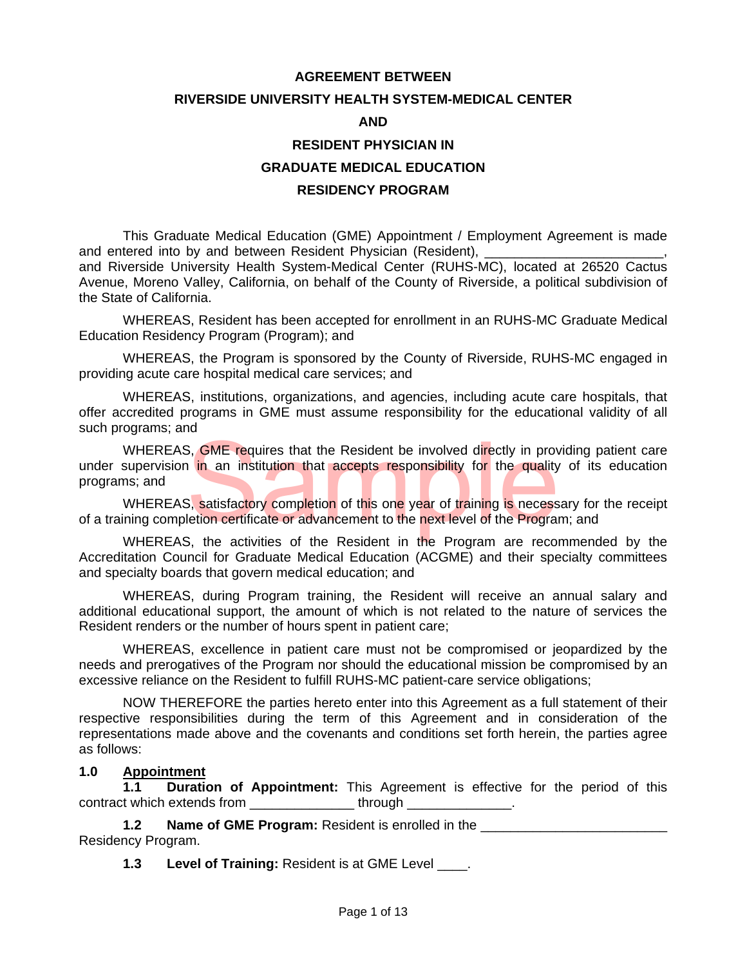#### **AGREEMENT BETWEEN**

#### **RIVERSIDE UNIVERSITY HEALTH SYSTEM-MEDICAL CENTER**

#### **AND**

## **RESIDENT PHYSICIAN IN**

#### **GRADUATE MEDICAL EDUCATION**

#### **RESIDENCY PROGRAM**

This Graduate Medical Education (GME) Appointment / Employment Agreement is made and entered into by and between Resident Physician (Resident),

and Riverside University Health System-Medical Center (RUHS-MC), located at 26520 Cactus Avenue, Moreno Valley, California, on behalf of the County of Riverside, a political subdivision of the State of California.

WHEREAS, Resident has been accepted for enrollment in an RUHS-MC Graduate Medical Education Residency Program (Program); and

WHEREAS, the Program is sponsored by the County of Riverside, RUHS-MC engaged in providing acute care hospital medical care services; and

WHEREAS, institutions, organizations, and agencies, including acute care hospitals, that offer accredited programs in GME must assume responsibility for the educational validity of all such programs; and

WHEREAS, GME requires that the Resident be involved directly in providing patient care<br>supervision in an institution that accepts responsibility for the quality of its education<br>ns; and<br>WHEREAS, satisfactory completion of under supervision in an institution that accepts responsibility for the quality of its education programs; and

WHEREAS, satisfactory completion of this one year of training is necessary for the receipt of a training completion certificate or advancement to the next level of the Program; and

WHEREAS, the activities of the Resident in the Program are recommended by the Accreditation Council for Graduate Medical Education (ACGME) and their specialty committees and specialty boards that govern medical education; and

WHEREAS, during Program training, the Resident will receive an annual salary and additional educational support, the amount of which is not related to the nature of services the Resident renders or the number of hours spent in patient care;

WHEREAS, excellence in patient care must not be compromised or jeopardized by the needs and prerogatives of the Program nor should the educational mission be compromised by an excessive reliance on the Resident to fulfill RUHS-MC patient-care service obligations;

NOW THEREFORE the parties hereto enter into this Agreement as a full statement of their respective responsibilities during the term of this Agreement and in consideration of the representations made above and the covenants and conditions set forth herein, the parties agree as follows:

#### **1.0 Appointment**

**1.1 Duration of Appointment:** This Agreement is effective for the period of this contract which extends from \_\_\_\_\_\_\_\_\_\_\_\_\_\_ through \_\_\_\_\_\_\_\_\_\_\_\_\_\_.

**1.2** Name of GME Program: Resident is enrolled in the Residency Program.

**1.3** Level of Training: Resident is at GME Level .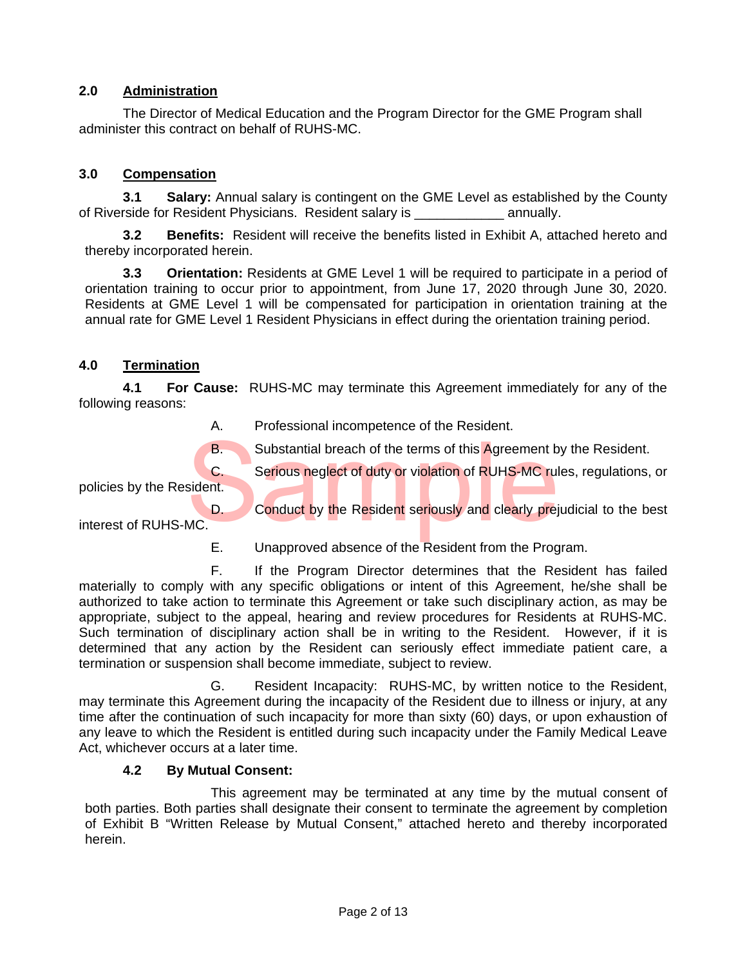# **2.0 Administration**

The Director of Medical Education and the Program Director for the GME Program shall administer this contract on behalf of RUHS-MC.

## **3.0 Compensation**

**3.1 Salary:** Annual salary is contingent on the GME Level as established by the County of Riverside for Resident Physicians. Resident salary is entitled annually.

**3.2 Benefits:** Resident will receive the benefits listed in Exhibit A, attached hereto and thereby incorporated herein.

**3.3 Orientation:** Residents at GME Level 1 will be required to participate in a period of orientation training to occur prior to appointment, from June 17, 2020 through June 30, 2020. Residents at GME Level 1 will be compensated for participation in orientation training at the annual rate for GME Level 1 Resident Physicians in effect during the orientation training period.

## **4.0 Termination**

**4.1 For Cause:** RUHS-MC may terminate this Agreement immediately for any of the following reasons:

A. Professional incompetence of the Resident.

C. Serious neglect of duty or violation of RUHS-MC rules, regulations, or

policies by the Resident.

B.<br>
Substantial breach of the terms of this Agreement by the Resident.<br>
C.<br>
Serious neglect of duty or violation of RUHS-MC rules, regulations,<br>
D.<br>
Conduct by the Resident seriously and clearly prejudicial to the be<br>
Inte D. Conduct by the Resident seriously and clearly prejudicial to the best interest of RUHS-MC.

E. Unapproved absence of the Resident from the Program.

 F. If the Program Director determines that the Resident has failed materially to comply with any specific obligations or intent of this Agreement, he/she shall be authorized to take action to terminate this Agreement or take such disciplinary action, as may be appropriate, subject to the appeal, hearing and review procedures for Residents at RUHS-MC. Such termination of disciplinary action shall be in writing to the Resident. However, if it is determined that any action by the Resident can seriously effect immediate patient care, a termination or suspension shall become immediate, subject to review.

G. Resident Incapacity: RUHS-MC, by written notice to the Resident, may terminate this Agreement during the incapacity of the Resident due to illness or injury, at any time after the continuation of such incapacity for more than sixty (60) days, or upon exhaustion of any leave to which the Resident is entitled during such incapacity under the Family Medical Leave Act, whichever occurs at a later time.

## **4.2 By Mutual Consent:**

 This agreement may be terminated at any time by the mutual consent of both parties. Both parties shall designate their consent to terminate the agreement by completion of Exhibit B "Written Release by Mutual Consent," attached hereto and thereby incorporated herein.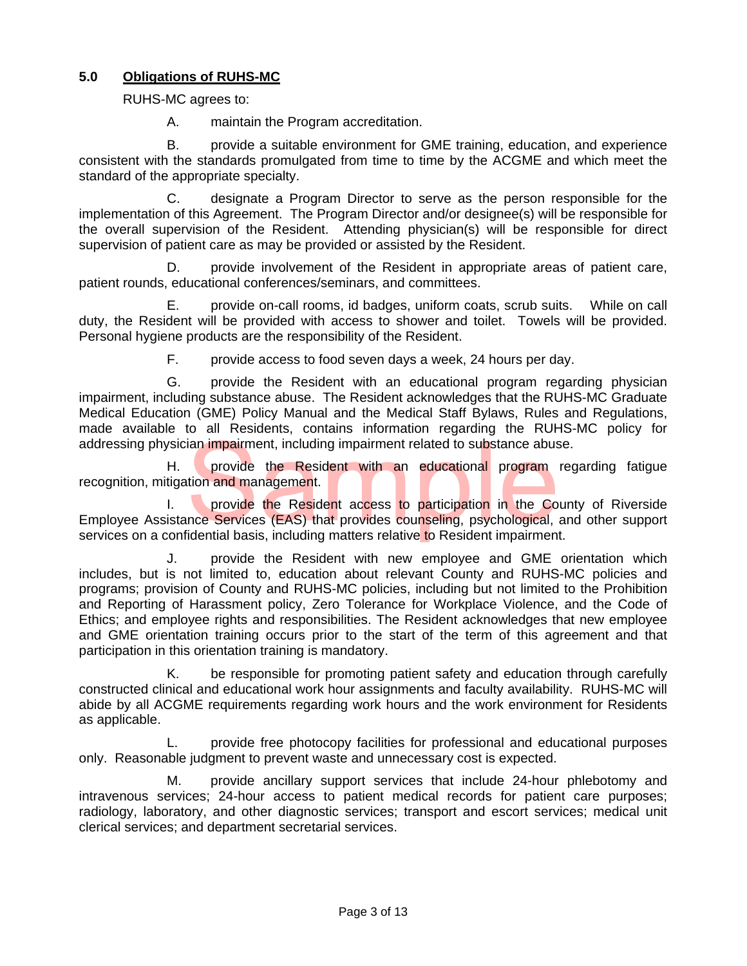# **5.0 Obligations of RUHS-MC**

RUHS-MC agrees to:

A. maintain the Program accreditation.

B. provide a suitable environment for GME training, education, and experience consistent with the standards promulgated from time to time by the ACGME and which meet the standard of the appropriate specialty.

 C. designate a Program Director to serve as the person responsible for the implementation of this Agreement. The Program Director and/or designee(s) will be responsible for the overall supervision of the Resident. Attending physician(s) will be responsible for direct supervision of patient care as may be provided or assisted by the Resident.

 D. provide involvement of the Resident in appropriate areas of patient care, patient rounds, educational conferences/seminars, and committees.

 E. provide on-call rooms, id badges, uniform coats, scrub suits. While on call duty, the Resident will be provided with access to shower and toilet. Towels will be provided. Personal hygiene products are the responsibility of the Resident.

F. provide access to food seven days a week, 24 hours per day.

 G. provide the Resident with an educational program regarding physician impairment, including substance abuse. The Resident acknowledges that the RUHS-MC Graduate Medical Education (GME) Policy Manual and the Medical Staff Bylaws, Rules and Regulations, made available to all Residents, contains information regarding the RUHS-MC policy for addressing physician impairment, including impairment related to substance abuse.

 H. provide the Resident with an educational program regarding fatigue recognition, mitigation and management.

ian impairment, including impairment related to substance abus<br>provide the Resident with an educational program<br>tion and management.<br>provide the Resident access to participation in the Co<br>nce Services (EAS) that provides c I. **provide the Resident access to participation in the County of Riverside** Employee Assistance Services (EAS) that provides counseling, psychological, and other support services on a confidential basis, including matters relative to Resident impairment.

 J. provide the Resident with new employee and GME orientation which includes, but is not limited to, education about relevant County and RUHS-MC policies and programs; provision of County and RUHS-MC policies, including but not limited to the Prohibition and Reporting of Harassment policy, Zero Tolerance for Workplace Violence, and the Code of Ethics; and employee rights and responsibilities. The Resident acknowledges that new employee and GME orientation training occurs prior to the start of the term of this agreement and that participation in this orientation training is mandatory.

 K. be responsible for promoting patient safety and education through carefully constructed clinical and educational work hour assignments and faculty availability. RUHS-MC will abide by all ACGME requirements regarding work hours and the work environment for Residents as applicable.

 L. provide free photocopy facilities for professional and educational purposes only. Reasonable judgment to prevent waste and unnecessary cost is expected.

 M. provide ancillary support services that include 24-hour phlebotomy and intravenous services; 24-hour access to patient medical records for patient care purposes; radiology, laboratory, and other diagnostic services; transport and escort services; medical unit clerical services; and department secretarial services.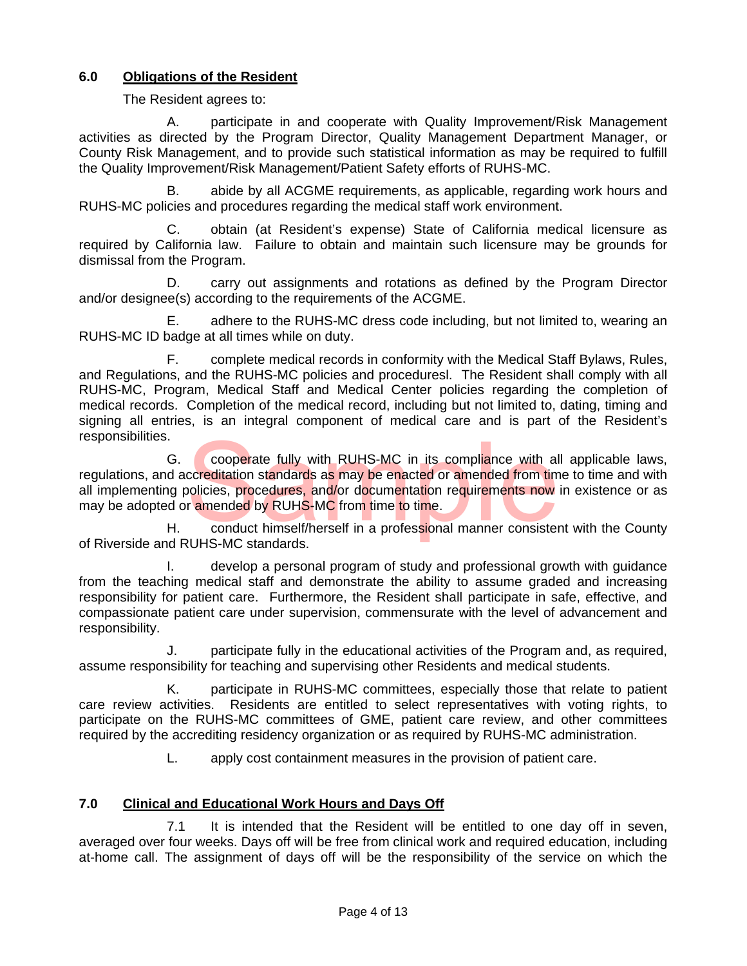# **6.0 Obligations of the Resident**

The Resident agrees to:

 A. participate in and cooperate with Quality Improvement/Risk Management activities as directed by the Program Director, Quality Management Department Manager, or County Risk Management, and to provide such statistical information as may be required to fulfill the Quality Improvement/Risk Management/Patient Safety efforts of RUHS-MC.

 B. abide by all ACGME requirements, as applicable, regarding work hours and RUHS-MC policies and procedures regarding the medical staff work environment.

 C. obtain (at Resident's expense) State of California medical licensure as required by California law. Failure to obtain and maintain such licensure may be grounds for dismissal from the Program.

 D. carry out assignments and rotations as defined by the Program Director and/or designee(s) according to the requirements of the ACGME.

E. adhere to the RUHS-MC dress code including, but not limited to, wearing an RUHS-MC ID badge at all times while on duty.

F. complete medical records in conformity with the Medical Staff Bylaws, Rules, and Regulations, and the RUHS-MC policies and proceduresl. The Resident shall comply with all RUHS-MC, Program, Medical Staff and Medical Center policies regarding the completion of medical records. Completion of the medical record, including but not limited to, dating, timing and signing all entries, is an integral component of medical care and is part of the Resident's responsibilities.

cooperate fully with RUHS-MC in its compliance with alcoreditation standards as may be enacted or amended from timolicies, procedures, and/or documentation requirements now r amended by RUHS-MC from time to time.<br>conduct h G. cooperate fully with RUHS-MC in its compliance with all applicable laws, regulations, and accreditation standards as may be enacted or amended from time to time and with all implementing policies, procedures, and/or documentation requirements now in existence or as may be adopted or amended by RUHS-MC from time to time.

H. conduct himself/herself in a professional manner consistent with the County of Riverside and RUHS-MC standards.

 I. develop a personal program of study and professional growth with guidance from the teaching medical staff and demonstrate the ability to assume graded and increasing responsibility for patient care. Furthermore, the Resident shall participate in safe, effective, and compassionate patient care under supervision, commensurate with the level of advancement and responsibility.

 J. participate fully in the educational activities of the Program and, as required, assume responsibility for teaching and supervising other Residents and medical students.

 K. participate in RUHS-MC committees, especially those that relate to patient care review activities. Residents are entitled to select representatives with voting rights, to participate on the RUHS-MC committees of GME, patient care review, and other committees required by the accrediting residency organization or as required by RUHS-MC administration.

L. apply cost containment measures in the provision of patient care.

# **7.0 Clinical and Educational Work Hours and Days Off**

 7.1 It is intended that the Resident will be entitled to one day off in seven, averaged over four weeks. Days off will be free from clinical work and required education, including at-home call. The assignment of days off will be the responsibility of the service on which the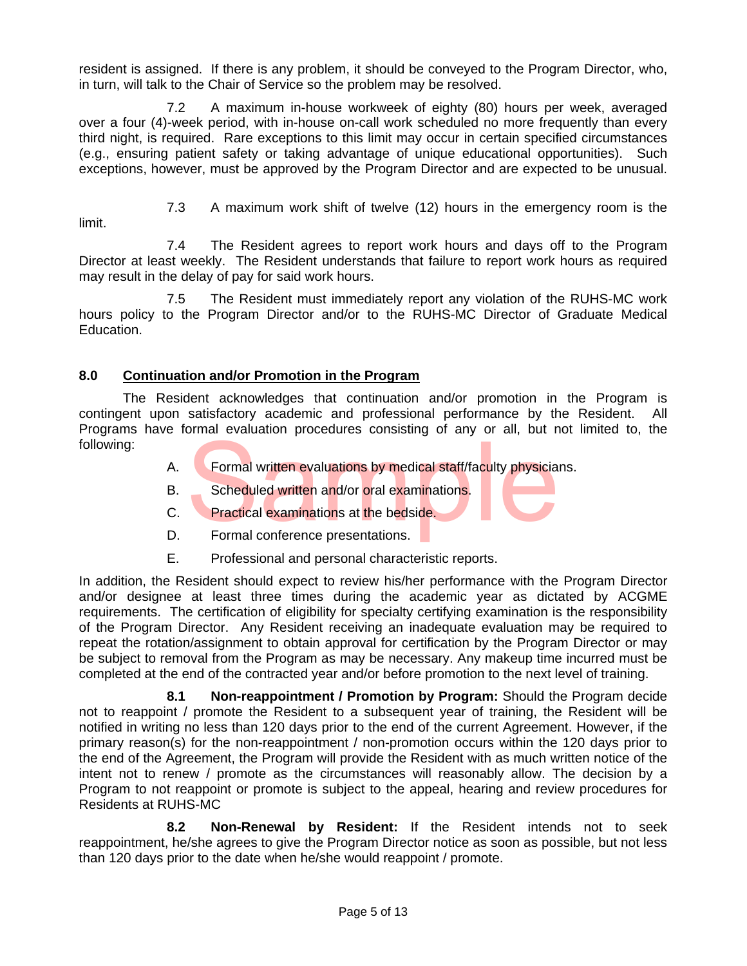resident is assigned. If there is any problem, it should be conveyed to the Program Director, who, in turn, will talk to the Chair of Service so the problem may be resolved.

 7.2 A maximum in-house workweek of eighty (80) hours per week, averaged over a four (4)-week period, with in-house on-call work scheduled no more frequently than every third night, is required. Rare exceptions to this limit may occur in certain specified circumstances (e.g., ensuring patient safety or taking advantage of unique educational opportunities). Such exceptions, however, must be approved by the Program Director and are expected to be unusual.

limit.

7.3 A maximum work shift of twelve (12) hours in the emergency room is the

 7.4 The Resident agrees to report work hours and days off to the Program Director at least weekly. The Resident understands that failure to report work hours as required may result in the delay of pay for said work hours.

7.5 The Resident must immediately report any violation of the RUHS-MC work hours policy to the Program Director and/or to the RUHS-MC Director of Graduate Medical Education.

# **8.0 Continuation and/or Promotion in the Program**

 The Resident acknowledges that continuation and/or promotion in the Program is contingent upon satisfactory academic and professional performance by the Resident. All Programs have formal evaluation procedures consisting of any or all, but not limited to, the following:

- Formal written evaluations by medical staff/faculty physicial<br>Scheduled written and/or oral examinations.<br>Practical examinations at the bedside.<br>Formal conference presentations. A. Formal written evaluations by medical staff/faculty physicians.
	- B. Scheduled written and/or oral examinations.
	- C. Practical examinations at the bedside.
	- D. Formal conference presentations.
	- E. Professional and personal characteristic reports.

In addition, the Resident should expect to review his/her performance with the Program Director and/or designee at least three times during the academic year as dictated by ACGME requirements. The certification of eligibility for specialty certifying examination is the responsibility of the Program Director. Any Resident receiving an inadequate evaluation may be required to repeat the rotation/assignment to obtain approval for certification by the Program Director or may be subject to removal from the Program as may be necessary. Any makeup time incurred must be completed at the end of the contracted year and/or before promotion to the next level of training.

 **8.1 Non-reappointment / Promotion by Program:** Should the Program decide not to reappoint / promote the Resident to a subsequent year of training, the Resident will be notified in writing no less than 120 days prior to the end of the current Agreement. However, if the primary reason(s) for the non-reappointment / non-promotion occurs within the 120 days prior to the end of the Agreement, the Program will provide the Resident with as much written notice of the intent not to renew / promote as the circumstances will reasonably allow. The decision by a Program to not reappoint or promote is subject to the appeal, hearing and review procedures for Residents at RUHS-MC

 **8.2 Non-Renewal by Resident:** If the Resident intends not to seek reappointment, he/she agrees to give the Program Director notice as soon as possible, but not less than 120 days prior to the date when he/she would reappoint / promote.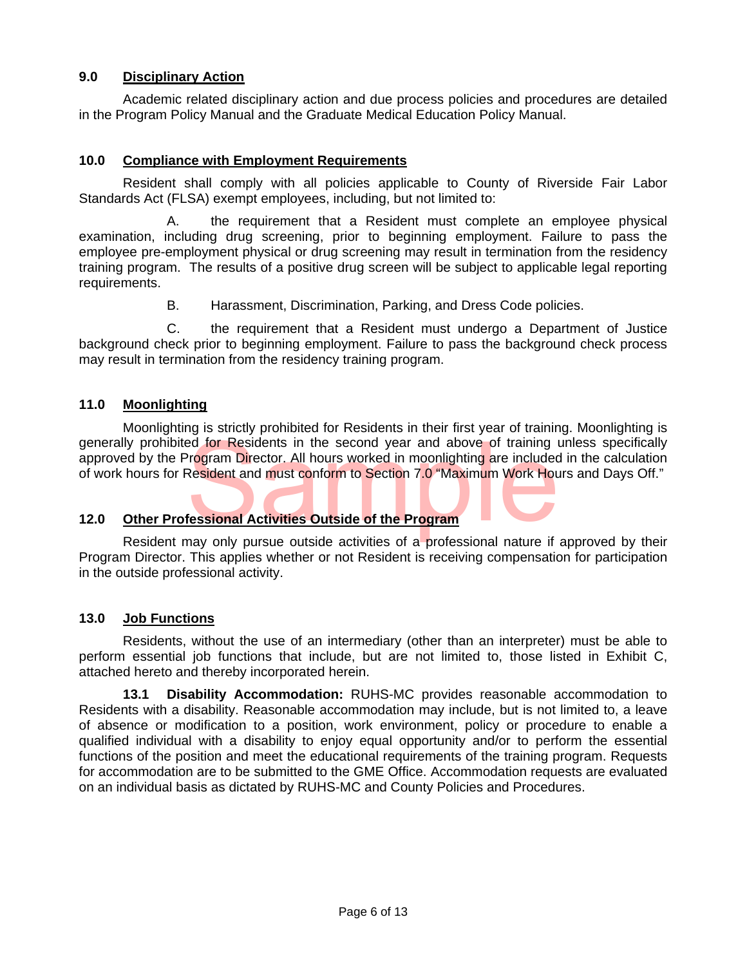## **9.0 Disciplinary Action**

 Academic related disciplinary action and due process policies and procedures are detailed in the Program Policy Manual and the Graduate Medical Education Policy Manual.

### **10.0 Compliance with Employment Requirements**

 Resident shall comply with all policies applicable to County of Riverside Fair Labor Standards Act (FLSA) exempt employees, including, but not limited to:

 A. the requirement that a Resident must complete an employee physical examination, including drug screening, prior to beginning employment. Failure to pass the employee pre-employment physical or drug screening may result in termination from the residency training program. The results of a positive drug screen will be subject to applicable legal reporting requirements.

B. Harassment, Discrimination, Parking, and Dress Code policies.

 C. the requirement that a Resident must undergo a Department of Justice background check prior to beginning employment. Failure to pass the background check process may result in termination from the residency training program.

## **11.0 Moonlighting**

Experience in the second year and above of training and above of training and above of training and program Director. All hours worked in moonlighting are included Resident and must conform to Section 7.0 "Maximum Work Hou Moonlighting is strictly prohibited for Residents in their first year of training. Moonlighting is generally prohibited for Residents in the second year and above of training unless specifically approved by the Program Director. All hours worked in moonlighting are included in the calculation of work hours for Resident and must conform to Section 7.0 "Maximum Work Hours and Days Off."

## **12.0 Other Professional Activities Outside of the Program**

Resident may only pursue outside activities of a professional nature if approved by their Program Director. This applies whether or not Resident is receiving compensation for participation in the outside professional activity.

#### **13.0 Job Functions**

 Residents, without the use of an intermediary (other than an interpreter) must be able to perform essential job functions that include, but are not limited to, those listed in Exhibit C, attached hereto and thereby incorporated herein.

**13.1 Disability Accommodation:** RUHS-MC provides reasonable accommodation to Residents with a disability. Reasonable accommodation may include, but is not limited to, a leave of absence or modification to a position, work environment, policy or procedure to enable a qualified individual with a disability to enjoy equal opportunity and/or to perform the essential functions of the position and meet the educational requirements of the training program. Requests for accommodation are to be submitted to the GME Office. Accommodation requests are evaluated on an individual basis as dictated by RUHS-MC and County Policies and Procedures.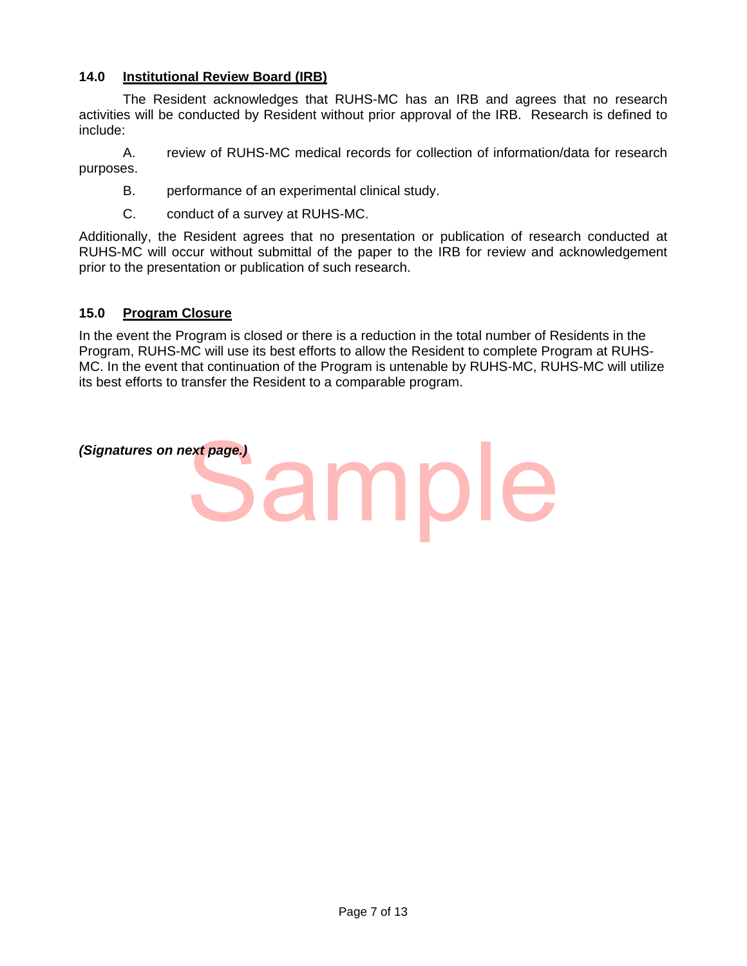## **14.0 Institutional Review Board (IRB)**

The Resident acknowledges that RUHS-MC has an IRB and agrees that no research activities will be conducted by Resident without prior approval of the IRB. Research is defined to include:

A. review of RUHS-MC medical records for collection of information/data for research purposes.

- B. performance of an experimental clinical study.
- C. conduct of a survey at RUHS-MC.

Additionally, the Resident agrees that no presentation or publication of research conducted at RUHS-MC will occur without submittal of the paper to the IRB for review and acknowledgement prior to the presentation or publication of such research.

#### **15.0 Program Closure**

In the event the Program is closed or there is a reduction in the total number of Residents in the Program, RUHS-MC will use its best efforts to allow the Resident to complete Program at RUHS-MC. In the event that continuation of the Program is untenable by RUHS-MC, RUHS-MC will utilize its best efforts to transfer the Resident to a comparable program.

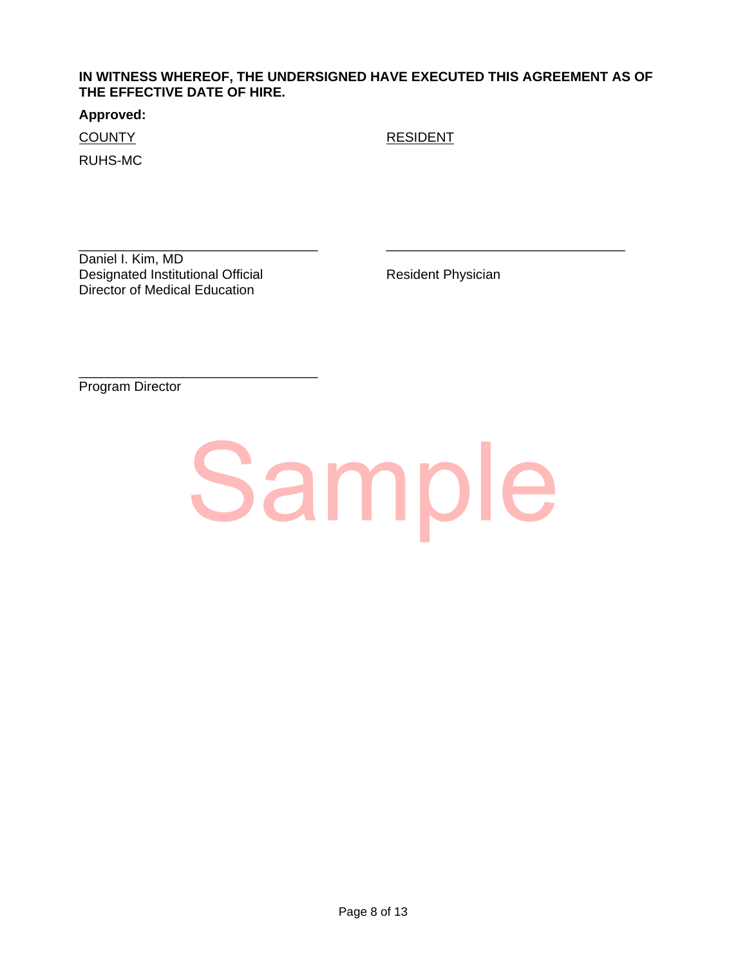## **IN WITNESS WHEREOF, THE UNDERSIGNED HAVE EXECUTED THIS AGREEMENT AS OF THE EFFECTIVE DATE OF HIRE.**

#### **Approved:**

RUHS-MC

COUNTY RESIDENT

\_\_\_\_\_\_\_\_\_\_\_\_\_\_\_\_\_\_\_\_\_\_\_\_\_\_\_\_\_\_\_\_ \_\_\_\_\_\_\_\_\_\_\_\_\_\_\_\_\_\_\_\_\_\_\_\_\_\_\_\_\_\_\_\_ Daniel I. Kim, MD Designated Institutional Official **Resident Physician** Director of Medical Education

\_\_\_\_\_\_\_\_\_\_\_\_\_\_\_\_\_\_\_\_\_\_\_\_\_\_\_\_\_\_\_\_

Program Director

# Sample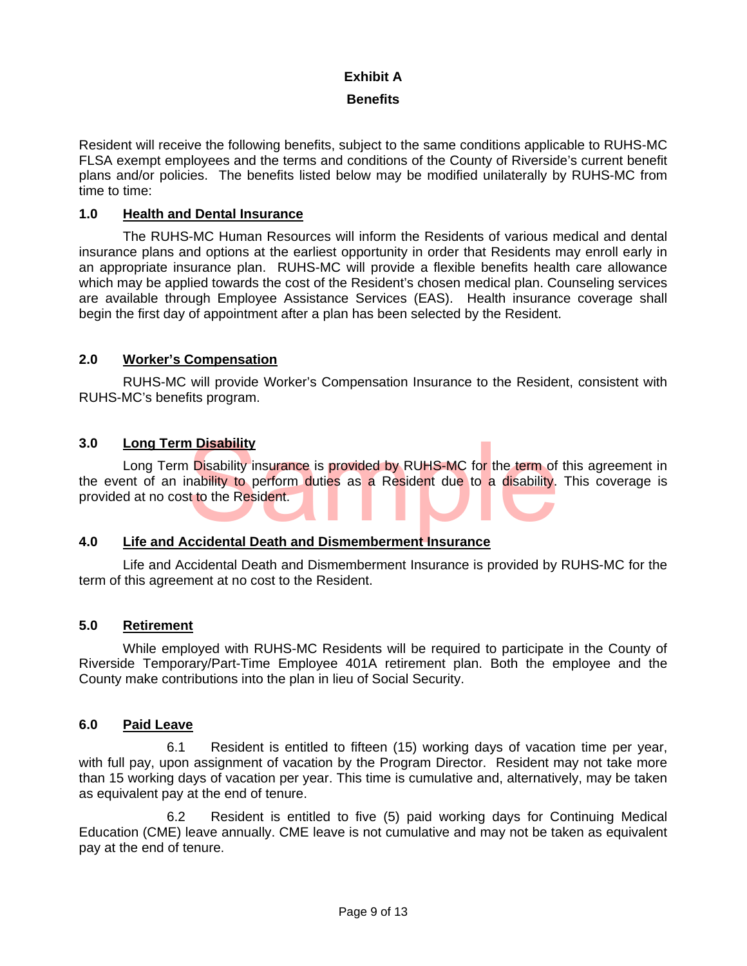## **Exhibit A**

## **Benefits**

Resident will receive the following benefits, subject to the same conditions applicable to RUHS-MC FLSA exempt employees and the terms and conditions of the County of Riverside's current benefit plans and/or policies. The benefits listed below may be modified unilaterally by RUHS-MC from time to time:

## **1.0 Health and Dental Insurance**

The RUHS-MC Human Resources will inform the Residents of various medical and dental insurance plans and options at the earliest opportunity in order that Residents may enroll early in an appropriate insurance plan. RUHS-MC will provide a flexible benefits health care allowance which may be applied towards the cost of the Resident's chosen medical plan. Counseling services are available through Employee Assistance Services (EAS). Health insurance coverage shall begin the first day of appointment after a plan has been selected by the Resident.

## **2.0 Worker's Compensation**

RUHS-MC will provide Worker's Compensation Insurance to the Resident, consistent with RUHS-MC's benefits program.

## **3.0 Long Term Disability**

n Disability<br>
Disability insurance is provided by RUHS-MC for the term of<br>
nability to perform duties as a Resident due to a disability.<br>
It to the Resident.<br>
ccidental Death and Dismemberment Insurance Long Term Disability insurance is provided by RUHS-MC for the term of this agreement in the event of an inability to perform duties as a Resident due to a disability. This coverage is provided at no cost to the Resident.

# **4.0 Life and Accidental Death and Dismemberment Insurance**

Life and Accidental Death and Dismemberment Insurance is provided by RUHS-MC for the term of this agreement at no cost to the Resident.

## **5.0 Retirement**

While employed with RUHS-MC Residents will be required to participate in the County of Riverside Temporary/Part-Time Employee 401A retirement plan. Both the employee and the County make contributions into the plan in lieu of Social Security.

## **6.0 Paid Leave**

 6.1 Resident is entitled to fifteen (15) working days of vacation time per year, with full pay, upon assignment of vacation by the Program Director. Resident may not take more than 15 working days of vacation per year. This time is cumulative and, alternatively, may be taken as equivalent pay at the end of tenure.

6.2 Resident is entitled to five (5) paid working days for Continuing Medical Education (CME) leave annually. CME leave is not cumulative and may not be taken as equivalent pay at the end of tenure.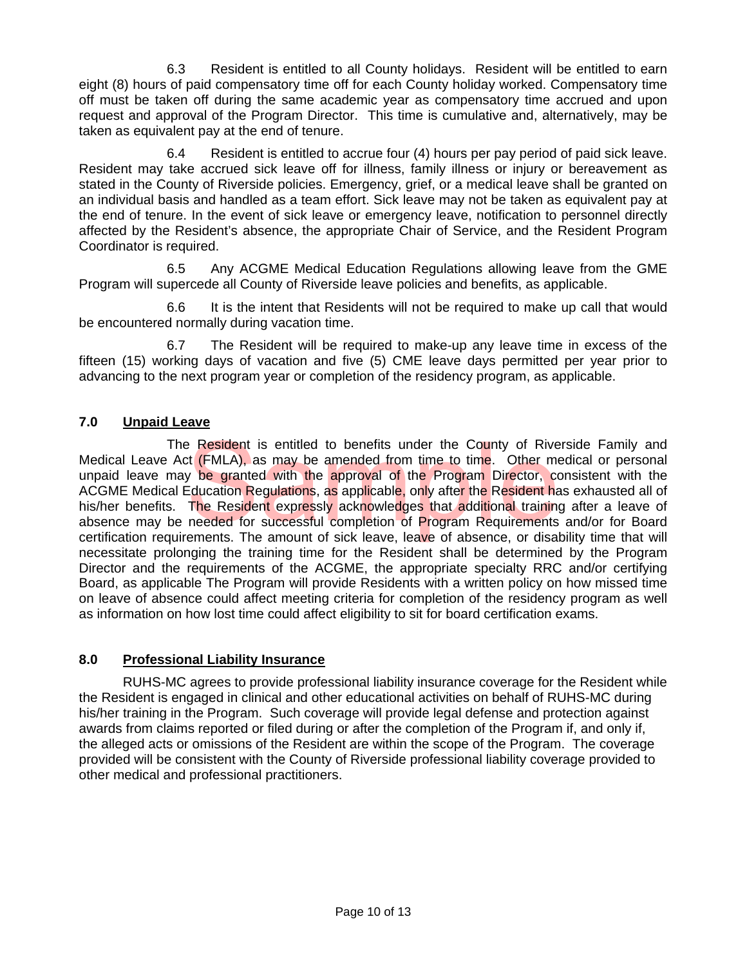6.3 Resident is entitled to all County holidays. Resident will be entitled to earn eight (8) hours of paid compensatory time off for each County holiday worked. Compensatory time off must be taken off during the same academic year as compensatory time accrued and upon request and approval of the Program Director. This time is cumulative and, alternatively, may be taken as equivalent pay at the end of tenure.

 6.4 Resident is entitled to accrue four (4) hours per pay period of paid sick leave. Resident may take accrued sick leave off for illness, family illness or injury or bereavement as stated in the County of Riverside policies. Emergency, grief, or a medical leave shall be granted on an individual basis and handled as a team effort. Sick leave may not be taken as equivalent pay at the end of tenure. In the event of sick leave or emergency leave, notification to personnel directly affected by the Resident's absence, the appropriate Chair of Service, and the Resident Program Coordinator is required.

 6.5 Any ACGME Medical Education Regulations allowing leave from the GME Program will supercede all County of Riverside leave policies and benefits, as applicable.

 6.6 It is the intent that Residents will not be required to make up call that would be encountered normally during vacation time.

 6.7 The Resident will be required to make-up any leave time in excess of the fifteen (15) working days of vacation and five (5) CME leave days permitted per year prior to advancing to the next program year or completion of the residency program, as applicable.

# **7.0 Unpaid Leave**

Experience is entitled to benefits under the County of Rive<br>of (FMLA), as may be amended from time to time. Other may be granted with the approval of the Program Director, correction Regulations, as applicable, only after The Resident is entitled to benefits under the County of Riverside Family and Medical Leave Act (FMLA), as may be amended from time to time. Other medical or personal unpaid leave may be granted with the approval of the Program Director, consistent with the ACGME Medical Education Regulations, as applicable, only after the Resident has exhausted all of his/her benefits. The Resident expressly acknowledges that additional training after a leave of absence may be needed for successful completion of Program Requirements and/or for Board certification requirements. The amount of sick leave, leave of absence, or disability time that will necessitate prolonging the training time for the Resident shall be determined by the Program Director and the requirements of the ACGME, the appropriate specialty RRC and/or certifying Board, as applicable The Program will provide Residents with a written policy on how missed time on leave of absence could affect meeting criteria for completion of the residency program as well as information on how lost time could affect eligibility to sit for board certification exams.

# **8.0 Professional Liability Insurance**

RUHS-MC agrees to provide professional liability insurance coverage for the Resident while the Resident is engaged in clinical and other educational activities on behalf of RUHS-MC during his/her training in the Program. Such coverage will provide legal defense and protection against awards from claims reported or filed during or after the completion of the Program if, and only if, the alleged acts or omissions of the Resident are within the scope of the Program. The coverage provided will be consistent with the County of Riverside professional liability coverage provided to other medical and professional practitioners.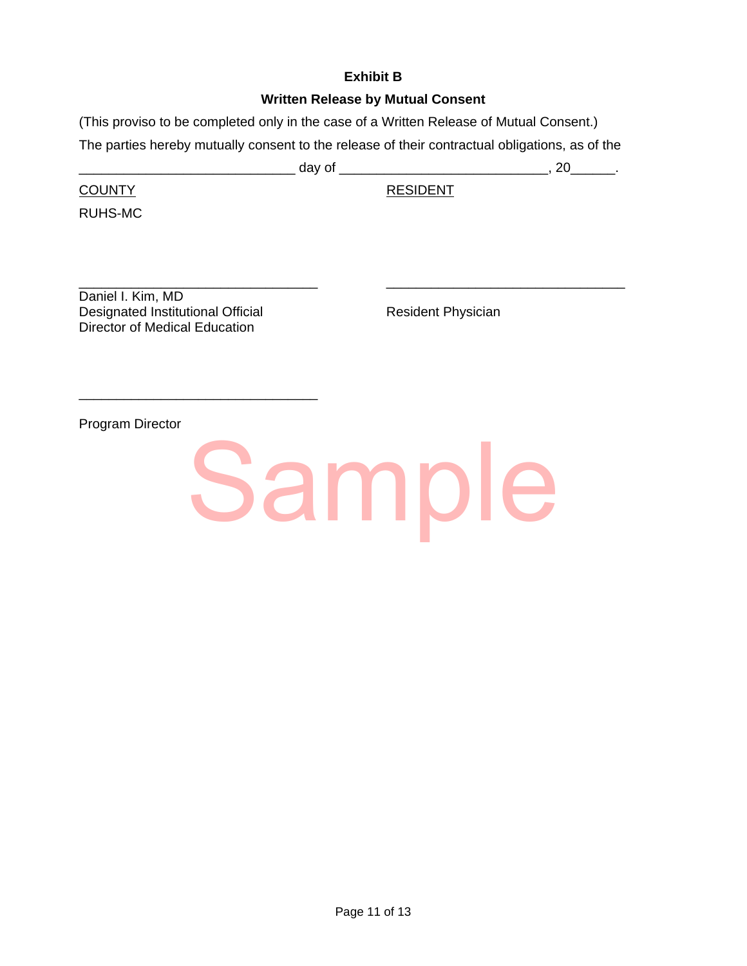## **Exhibit B**

## **Written Release by Mutual Consent**

(This proviso to be completed only in the case of a Written Release of Mutual Consent.) The parties hereby mutually consent to the release of their contractual obligations, as of the

\_\_\_\_\_\_\_\_\_\_\_\_\_\_\_\_\_\_\_\_\_\_\_\_\_\_\_\_\_ day of \_\_\_\_\_\_\_\_\_\_\_\_\_\_\_\_\_\_\_\_\_\_\_\_\_\_\_\_, 20\_\_\_\_\_\_.

COUNTY RESIDENT

RUHS-MC

\_\_\_\_\_\_\_\_\_\_\_\_\_\_\_\_\_\_\_\_\_\_\_\_\_\_\_\_\_\_\_\_ \_\_\_\_\_\_\_\_\_\_\_\_\_\_\_\_\_\_\_\_\_\_\_\_\_\_\_\_\_\_\_\_ Daniel I. Kim, MD Designated Institutional Official **Resident Physician** Director of Medical Education

\_\_\_\_\_\_\_\_\_\_\_\_\_\_\_\_\_\_\_\_\_\_\_\_\_\_\_\_\_\_\_\_

Program Director

Sample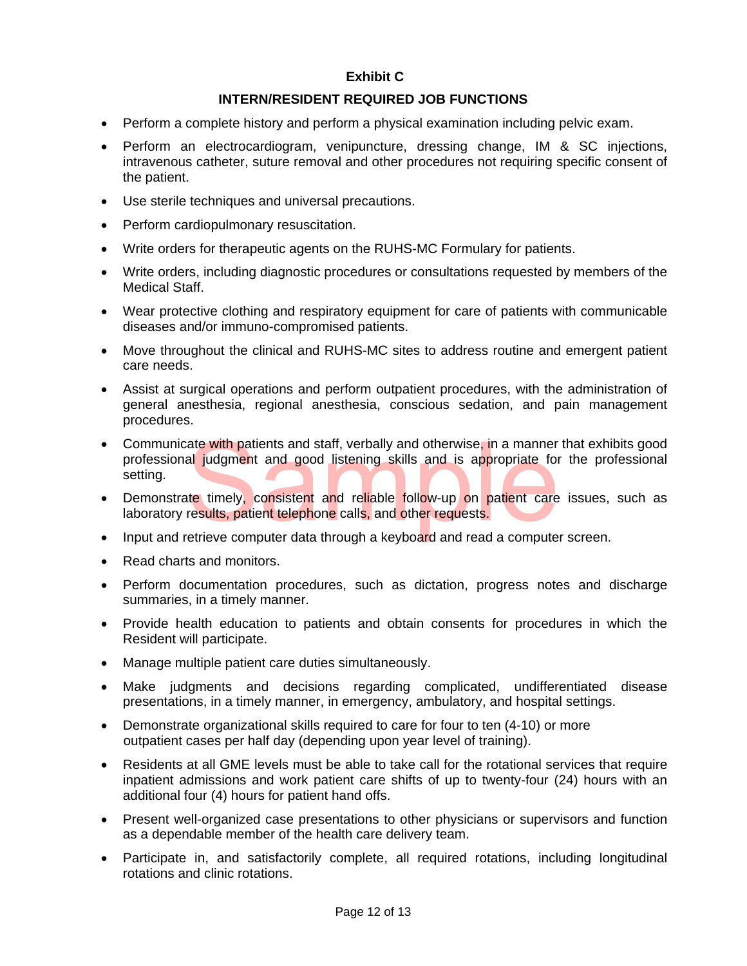# **Exhibit C**

## **INTERN/RESIDENT REQUIRED JOB FUNCTIONS**

- Perform a complete history and perform a physical examination including pelvic exam.
- Perform an electrocardiogram, venipuncture, dressing change, IM & SC injections, intravenous catheter, suture removal and other procedures not requiring specific consent of the patient.
- Use sterile techniques and universal precautions.
- Perform cardiopulmonary resuscitation.
- Write orders for therapeutic agents on the RUHS-MC Formulary for patients.
- Write orders, including diagnostic procedures or consultations requested by members of the Medical Staff.
- Wear protective clothing and respiratory equipment for care of patients with communicable diseases and/or immuno-compromised patients.
- Move throughout the clinical and RUHS-MC sites to address routine and emergent patient care needs.
- Assist at surgical operations and perform outpatient procedures, with the administration of general anesthesia, regional anesthesia, conscious sedation, and pain management procedures.
- ate with patients and staff, verbally and otherwise, in a manner<br>all judgment and good listening skills and is appropriate for<br>the timely, consistent and reliable follow-up on patient care<br>results, patient telephone calls, • Communicate with patients and staff, verbally and otherwise, in a manner that exhibits good professional judgment and good listening skills and is appropriate for the professional setting.
- Demonstrate timely, consistent and reliable follow-up on patient care issues, such as laboratory results, patient telephone calls, and other requests.
- Input and retrieve computer data through a keyboard and read a computer screen.
- Read charts and monitors.
- Perform documentation procedures, such as dictation, progress notes and discharge summaries, in a timely manner.
- Provide health education to patients and obtain consents for procedures in which the Resident will participate.
- Manage multiple patient care duties simultaneously.
- Make judgments and decisions regarding complicated, undifferentiated disease presentations, in a timely manner, in emergency, ambulatory, and hospital settings.
- Demonstrate organizational skills required to care for four to ten (4-10) or more outpatient cases per half day (depending upon year level of training).
- Residents at all GME levels must be able to take call for the rotational services that require inpatient admissions and work patient care shifts of up to twenty-four (24) hours with an additional four (4) hours for patient hand offs.
- Present well-organized case presentations to other physicians or supervisors and function as a dependable member of the health care delivery team.
- Participate in, and satisfactorily complete, all required rotations, including longitudinal rotations and clinic rotations.